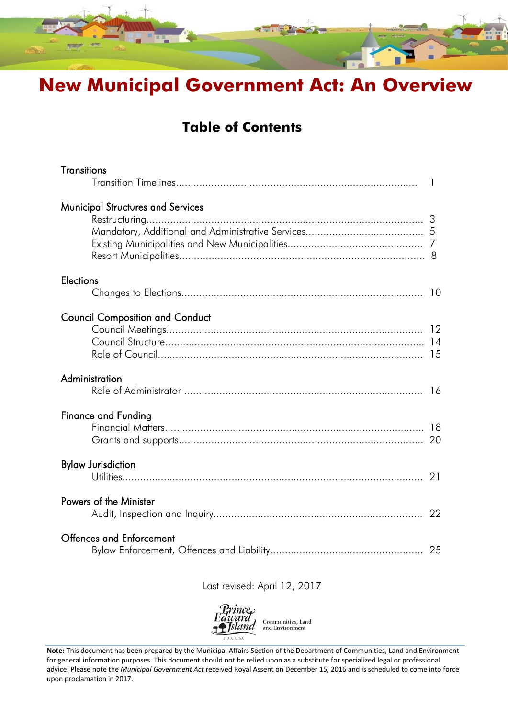

# **New Municipal Government Act: An Overview**

### **Table of Contents**

| <b>Transitions</b>                     | $\mathbf{1}$ |
|----------------------------------------|--------------|
| Municipal Structures and Services      |              |
| <b>Elections</b>                       |              |
| <b>Council Composition and Conduct</b> |              |
| Administration                         |              |
| <b>Finance and Funding</b>             |              |
| <b>Bylaw Jurisdiction</b>              |              |
| Powers of the Minister                 |              |
| <b>Offences and Enforcement</b>        |              |

### Last revised: April 12, 2017



**Note:** This document has been prepared by the Municipal Affairs Section of the Department of Communities, Land and Environment for general information purposes. This document should not be relied upon as a substitute for specialized legal or professional advice. Please note the *Municipal Government Act* received Royal Assent on December 15, 2016 and is scheduled to come into force upon proclamation in 2017.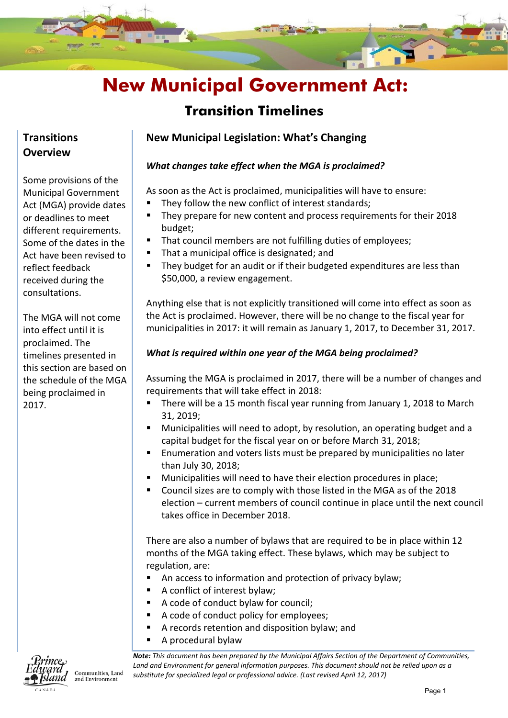### **Transition Timelines**

### **Transitions Overview**

Some provisions of the Municipal Government Act (MGA) provide dates or deadlines to meet different requirements. Some of the dates in the Act have been revised to reflect feedback received during the consultations.

The MGA will not come into effect until it is proclaimed. The timelines presented in this section are based on the schedule of the MGA being proclaimed in 2017.



Communities, Land and Environment

### **New Municipal Legislation: What's Changing**

### *What changes take effect when the MGA is proclaimed?*

As soon as the Act is proclaimed, municipalities will have to ensure:

- They follow the new conflict of interest standards;
- They prepare for new content and process requirements for their 2018 budget;
- That council members are not fulfilling duties of employees;
- That a municipal office is designated; and
- They budget for an audit or if their budgeted expenditures are less than \$50,000, a review engagement.

Anything else that is not explicitly transitioned will come into effect as soon as the Act is proclaimed. However, there will be no change to the fiscal year for municipalities in 2017: it will remain as January 1, 2017, to December 31, 2017.

### *What is required within one year of the MGA being proclaimed?*

Assuming the MGA is proclaimed in 2017, there will be a number of changes and requirements that will take effect in 2018:

- There will be a 15 month fiscal year running from January 1, 2018 to March 31, 2019;
- Municipalities will need to adopt, by resolution, an operating budget and a capital budget for the fiscal year on or before March 31, 2018;
- Enumeration and voters lists must be prepared by municipalities no later than July 30, 2018;
- Municipalities will need to have their election procedures in place;
- Council sizes are to comply with those listed in the MGA as of the 2018 election – current members of council continue in place until the next council takes office in December 2018.

There are also a number of bylaws that are required to be in place within 12 months of the MGA taking effect. These bylaws, which may be subject to regulation, are:

- An access to information and protection of privacy bylaw;
- A conflict of interest bylaw;
- A code of conduct bylaw for council;
- A code of conduct policy for employees;
- A records retention and disposition bylaw; and
- A procedural bylaw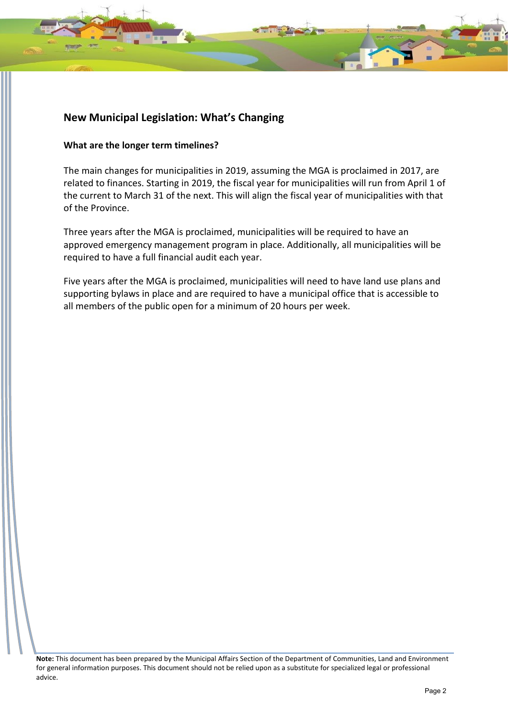#### **What are the longer term timelines?**

The main changes for municipalities in 2019, assuming the MGA is proclaimed in 2017, are related to finances. Starting in 2019, the fiscal year for municipalities will run from April 1 of the current to March 31 of the next. This will align the fiscal year of municipalities with that of the Province.

Three years after the MGA is proclaimed, municipalities will be required to have an approved emergency management program in place. Additionally, all municipalities will be required to have a full financial audit each year.

Five years after the MGA is proclaimed, municipalities will need to have land use plans and supporting bylaws in place and are required to have a municipal office that is accessible to all members of the public open for a minimum of 20 hours per week.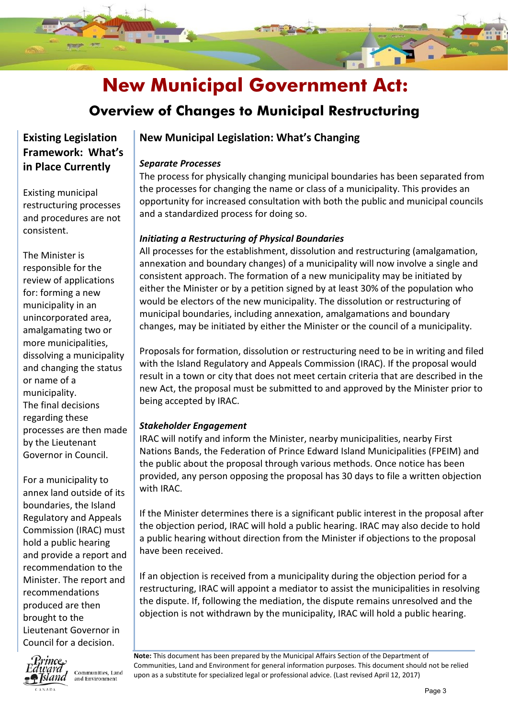

### **Overview of Changes to Municipal Restructuring**

### **Existing Legislation Framework: What's in Place Currently**

Existing municipal restructuring processes and procedures are not consistent.

The Minister is responsible for the review of applications for: forming a new municipality in an unincorporated area, amalgamating two or more municipalities, dissolving a municipality and changing the status or name of a municipality. The final decisions regarding these processes are then made by the Lieutenant Governor in Council.

For a municipality to annex land outside of its boundaries, the Island Regulatory and Appeals Commission (IRAC) must hold a public hearing and provide a report and recommendation to the Minister. The report and recommendations produced are then brought to the Lieutenant Governor in Council for a decision.



Communities, Land and Environment

### **New Municipal Legislation: What's Changing**

### *Separate Processes*

The process for physically changing municipal boundaries has been separated from the processes for changing the name or class of a municipality. This provides an opportunity for increased consultation with both the public and municipal councils and a standardized process for doing so.

### *Initiating a Restructuring of Physical Boundaries*

All processes for the establishment, dissolution and restructuring (amalgamation, annexation and boundary changes) of a municipality will now involve a single and consistent approach. The formation of a new municipality may be initiated by either the Minister or by a petition signed by at least 30% of the population who would be electors of the new municipality. The dissolution or restructuring of municipal boundaries, including annexation, amalgamations and boundary changes, may be initiated by either the Minister or the council of a municipality.

Proposals for formation, dissolution or restructuring need to be in writing and filed with the Island Regulatory and Appeals Commission (IRAC). If the proposal would result in a town or city that does not meet certain criteria that are described in the new Act, the proposal must be submitted to and approved by the Minister prior to being accepted by IRAC.

### *Stakeholder Engagement*

IRAC will notify and inform the Minister, nearby municipalities, nearby First Nations Bands, the Federation of Prince Edward Island Municipalities (FPEIM) and the public about the proposal through various methods. Once notice has been provided, any person opposing the proposal has 30 days to file a written objection with IRAC.

If the Minister determines there is a significant public interest in the proposal after the objection period, IRAC will hold a public hearing. IRAC may also decide to hold a public hearing without direction from the Minister if objections to the proposal have been received.

If an objection is received from a municipality during the objection period for a restructuring, IRAC will appoint a mediator to assist the municipalities in resolving the dispute. If, following the mediation, the dispute remains unresolved and the objection is not withdrawn by the municipality, IRAC will hold a public hearing.

Communities, Land and Environment for general information purposes. This document shou<br>upon as a substitute for specialized legal or professional advice. (Last revised April 12, 2017) **Note:** This document has been prepared by the Municipal Affairs Section of the Department of Communities, Land and Environment for general information purposes. This document should not be relied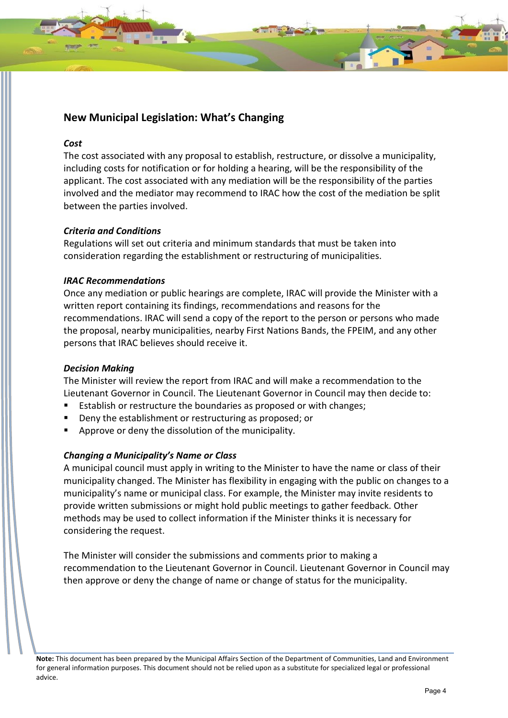#### *Cost*

The cost associated with any proposal to establish, restructure, or dissolve a municipality, including costs for notification or for holding a hearing, will be the responsibility of the applicant. The cost associated with any mediation will be the responsibility of the parties involved and the mediator may recommend to IRAC how the cost of the mediation be split between the parties involved.

### *Criteria and Conditions*

Regulations will set out criteria and minimum standards that must be taken into consideration regarding the establishment or restructuring of municipalities.

### *IRAC Recommendations*

Once any mediation or public hearings are complete, IRAC will provide the Minister with a written report containing its findings, recommendations and reasons for the recommendations. IRAC will send a copy of the report to the person or persons who made the proposal, nearby municipalities, nearby First Nations Bands, the FPEIM, and any other persons that IRAC believes should receive it.

### *Decision Making*

The Minister will review the report from IRAC and will make a recommendation to the Lieutenant Governor in Council. The Lieutenant Governor in Council may then decide to:

- Establish or restructure the boundaries as proposed or with changes;
- Deny the establishment or restructuring as proposed; or
- Approve or deny the dissolution of the municipality.

### *Changing a Municipality's Name or Class*

A municipal council must apply in writing to the Minister to have the name or class of their municipality changed. The Minister has flexibility in engaging with the public on changes to a municipality's name or municipal class. For example, the Minister may invite residents to provide written submissions or might hold public meetings to gather feedback. Other methods may be used to collect information if the Minister thinks it is necessary for considering the request.

The Minister will consider the submissions and comments prior to making a recommendation to the Lieutenant Governor in Council. Lieutenant Governor in Council may then approve or deny the change of name or change of status for the municipality.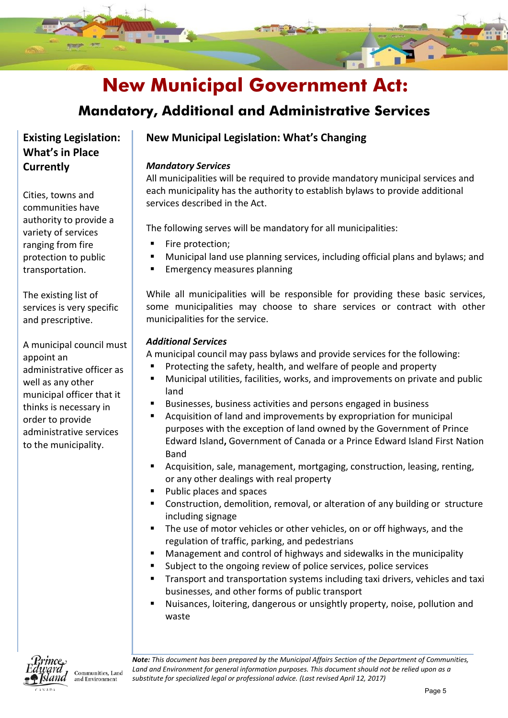

### **Mandatory, Additional and Administrative Services**

**Existing Legislation: What's in Place Currently**

Cities, towns and communities have authority to provide a variety of services ranging from fire protection to public transportation.

The existing list of services is very specific and prescriptive.

A municipal council must appoint an administrative officer as well as any other municipal officer that it thinks is necessary in order to provide administrative services to the municipality.

### **New Municipal Legislation: What's Changing**

#### *Mandatory Services*

All municipalities will be required to provide mandatory municipal services and each municipality has the authority to establish bylaws to provide additional services described in the Act.

The following serves will be mandatory for all municipalities:

- Fire protection;
- Municipal land use planning services, including official plans and bylaws; and
- Emergency measures planning

While all municipalities will be responsible for providing these basic services, some municipalities may choose to share services or contract with other municipalities for the service.

### *Additional Services*

A municipal council may pass bylaws and provide services for the following:

- Protecting the safety, health, and welfare of people and property
- Municipal utilities, facilities, works, and improvements on private and public land
- Businesses, business activities and persons engaged in business
- Acquisition of land and improvements by expropriation for municipal purposes with the exception of land owned by the Government of Prince Edward Island**,** Government of Canada or a Prince Edward Island First Nation Band
- Acquisition, sale, management, mortgaging, construction, leasing, renting, or any other dealings with real property
- Public places and spaces
- Construction, demolition, removal, or alteration of any building or structure including signage
- The use of motor vehicles or other vehicles, on or off highways, and the regulation of traffic, parking, and pedestrians
- Management and control of highways and sidewalks in the municipality
- Subject to the ongoing review of police services, police services
- Transport and transportation systems including taxi drivers, vehicles and taxi businesses, and other forms of public transport
- Nuisances, loitering, dangerous or unsightly property, noise, pollution and waste



Communities, Land and Environment

 *Land and Environment for general information purposes. This document should not be relied upon as a Note: This document has been prepared by the Municipal Affairs Section of the Department of Communities, substitute for specialized legal or professional advice. (Last revised April 12, 2017)*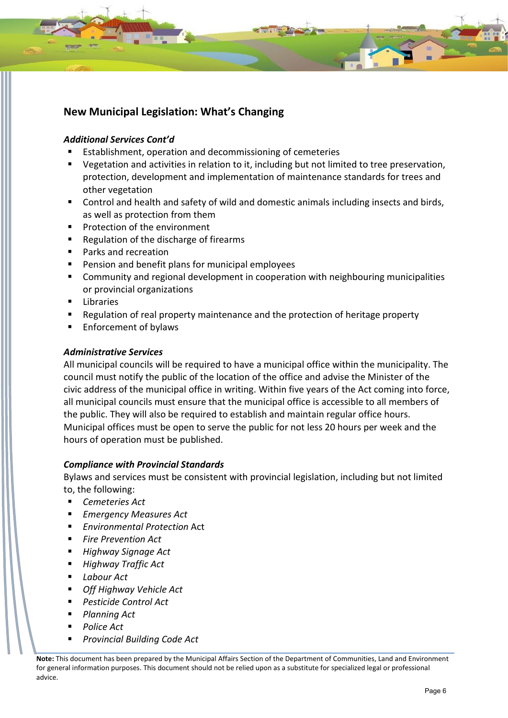### *Additional Services Cont'd*

- Establishment, operation and decommissioning of cemeteries
- Vegetation and activities in relation to it, including but not limited to tree preservation, protection, development and implementation of maintenance standards for trees and other vegetation
- Control and health and safety of wild and domestic animals including insects and birds, as well as protection from them
- **Protection of the environment**
- Regulation of the discharge of firearms
- **Parks and recreation**
- **Pension and benefit plans for municipal employees**
- **EXT** Community and regional development in cooperation with neighbouring municipalities or provincial organizations
- Libraries
- Regulation of real property maintenance and the protection of heritage property
- Enforcement of bylaws

### *Administrative Services*

All municipal councils will be required to have a municipal office within the municipality. The council must notify the public of the location of the office and advise the Minister of the civic address of the municipal office in writing. Within five years of the Act coming into force, all municipal councils must ensure that the municipal office is accessible to all members of the public. They will also be required to establish and maintain regular office hours. Municipal offices must be open to serve the public for not less 20 hours per week and the hours of operation must be published.

### *Compliance with Provincial Standards*

Bylaws and services must be consistent with provincial legislation, including but not limited to, the following:

- *Cemeteries Act*
- *Emergency Measures Act*
- *Environmental Protection* Act
- *Fire Prevention Act*
- *Highway Signage Act*
- *Highway Traffic Act*
- *Labour Act*
- *Off Highway Vehicle Act*
- *Pesticide Control Act*
- *Planning Act*
- *Police Act*
- *Provincial Building Code Act*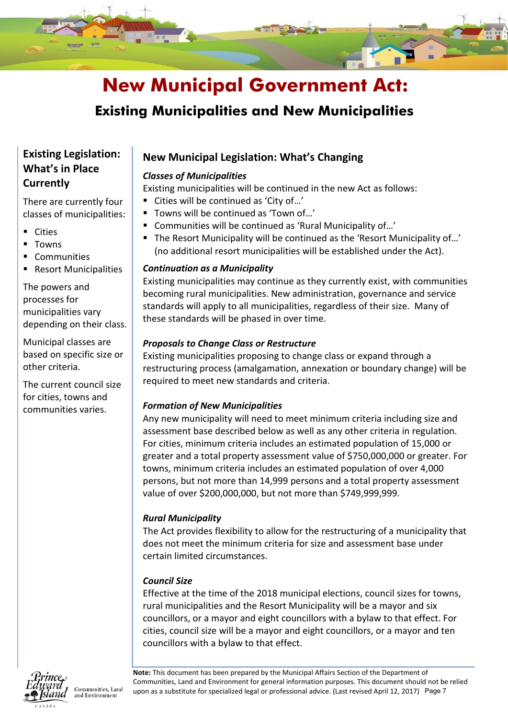

### **Existing Municipalities and New Municipalities**

### **Existing Legislation: What's in Place Currently**

There are currently four classes of municipalities:

- **Cities**
- Towns
- **Communities**
- Resort Municipalities

The powers and processes for municipalities vary depending on their class.

Municipal classes are based on specific size or other criteria.

The current council size for cities, towns and communities varies.

### **New Municipal Legislation: What's Changing**

### *Classes of Municipalities*

Existing municipalities will be continued in the new Act as follows:

- Cities will be continued as 'City of...'
- Towns will be continued as 'Town of...'
- Communities will be continued as 'Rural Municipality of...'
- The Resort Municipality will be continued as the 'Resort Municipality of...' (no additional resort municipalities will be established under the Act).

### *Continuation as a Municipality*

Existing municipalities may continue as they currently exist, with communities becoming rural municipalities. New administration, governance and service standards will apply to all municipalities, regardless of their size. Many of these standards will be phased in over time.

### *Proposals to Change Class or Restructure*

Existing municipalities proposing to change class or expand through a restructuring process (amalgamation, annexation or boundary change) will be required to meet new standards and criteria.

### *Formation of New Municipalities*

Any new municipality will need to meet minimum criteria including size and assessment base described below as well as any other criteria in regulation. For cities, minimum criteria includes an estimated population of 15,000 or greater and a total property assessment value of \$750,000,000 or greater. For towns, minimum criteria includes an estimated population of over 4,000 persons, but not more than 14,999 persons and a total property assessment value of over \$200,000,000, but not more than \$749,999,999.

### *Rural Municipality*

The Act provides flexibility to allow for the restructuring of a municipality that does not meet the minimum criteria for size and assessment base under certain limited circumstances.

### *Council Size*

Effective at the time of the 2018 municipal elections, council sizes for towns, rural municipalities and the Resort Municipality will be a mayor and six councillors, or a mayor and eight councillors with a bylaw to that effect. For cities, council size will be a mayor and eight councillors, or a mayor and ten councillors with a bylaw to that effect.



Communities, Land and Environment

Communities, Land and Environment for general information purposes. This document should not be<br>upon as a substitute for specialized legal or professional advice. (Last revised April 12, 2017) Page 7 **Note:** This document has been prepared by the Municipal Affairs Section of the Department of Communities, Land and Environment for general information purposes. This document should not be relied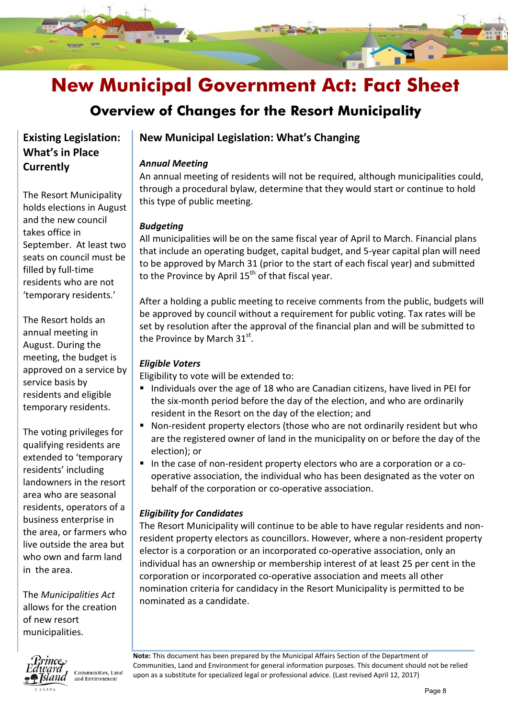

### **Overview of Changes for the Resort Municipality**

### **Existing Legislation: What's in Place Currently**

The Resort Municipality holds elections in August and the new council takes office in September. At least two seats on council must be filled by full-time residents who are not 'temporary residents.'

The Resort holds an annual meeting in August. During the meeting, the budget is approved on a service by service basis by residents and eligible temporary residents.

The voting privileges for qualifying residents are extended to 'temporary residents' including landowners in the resort area who are seasonal residents, operators of a business enterprise in the area, or farmers who live outside the area but who own and farm land in the area.

The *Municipalities Act* allows for the creation of new resort municipalities.



Communities, Land and Environment

### **New Municipal Legislation: What's Changing**

### *Annual Meeting*

An annual meeting of residents will not be required, although municipalities could, through a procedural bylaw, determine that they would start or continue to hold this type of public meeting.

### *Budgeting*

All municipalities will be on the same fiscal year of April to March. Financial plans that include an operating budget, capital budget, and 5-year capital plan will need to be approved by March 31 (prior to the start of each fiscal year) and submitted to the Province by April  $15<sup>th</sup>$  of that fiscal year.

After a holding a public meeting to receive comments from the public, budgets will be approved by council without a requirement for public voting. Tax rates will be set by resolution after the approval of the financial plan and will be submitted to the Province by March  $31<sup>st</sup>$ .

### *Eligible Voters*

Eligibility to vote will be extended to:

- Individuals over the age of 18 who are Canadian citizens, have lived in PEI for the six-month period before the day of the election, and who are ordinarily resident in the Resort on the day of the election; and
- Non-resident property electors (those who are not ordinarily resident but who are the registered owner of land in the municipality on or before the day of the election); or
- In the case of non-resident property electors who are a corporation or a cooperative association, the individual who has been designated as the voter on behalf of the corporation or co-operative association.

### *Eligibility for Candidates*

The Resort Municipality will continue to be able to have regular residents and nonresident property electors as councillors. However, where a non-resident property elector is a corporation or an incorporated co-operative association, only an individual has an ownership or membership interest of at least 25 per cent in the corporation or incorporated co-operative association and meets all other nomination criteria for candidacy in the Resort Municipality is permitted to be nominated as a candidate.

Communities, Land and Environment for general information purposes. This document shou<br>upon as a substitute for specialized legal or professional advice. (Last revised April 12, 2017) **Note:** This document has been prepared by the Municipal Affairs Section of the Department of Communities, Land and Environment for general information purposes. This document should not be relied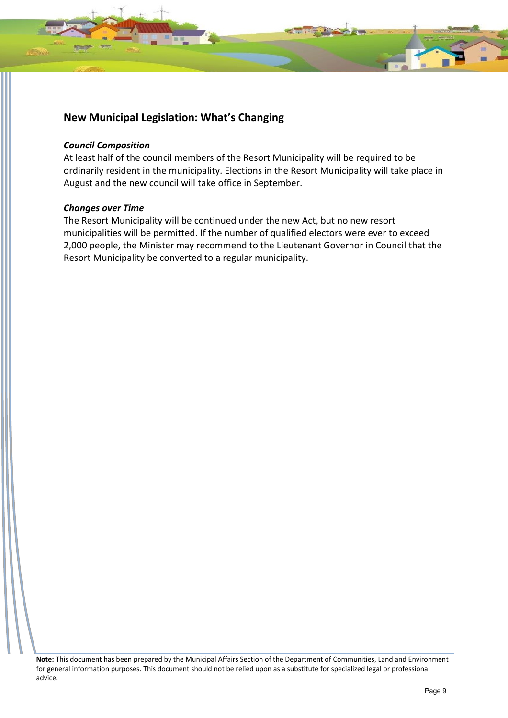

#### *Council Composition*

At least half of the council members of the Resort Municipality will be required to be ordinarily resident in the municipality. Elections in the Resort Municipality will take place in August and the new council will take office in September.

#### *Changes over Time*

The Resort Municipality will be continued under the new Act, but no new resort municipalities will be permitted. If the number of qualified electors were ever to exceed 2,000 people, the Minister may recommend to the Lieutenant Governor in Council that the Resort Municipality be converted to a regular municipality.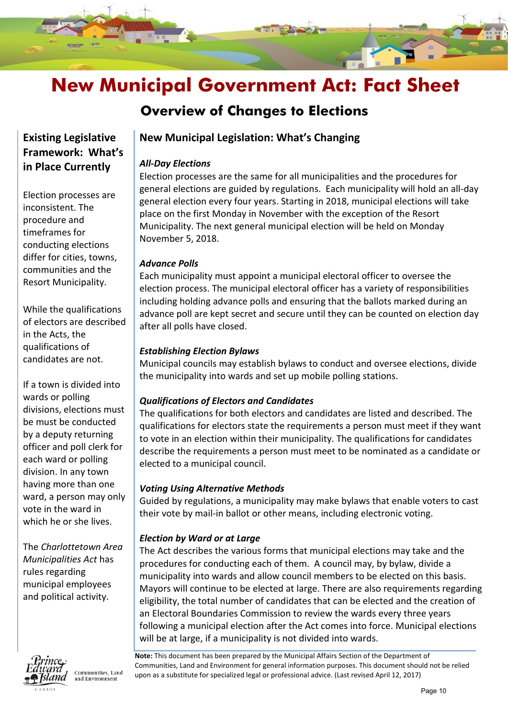

### **Overview of Changes to Elections**

### **Existing Legislative Framework: What's in Place Currently**

Election processes are inconsistent. The procedure and timeframes for conducting elections differ for cities, towns, communities and the Resort Municipality.

While the qualifications of electors are described in the Acts, the qualifications of candidates are not.

If a town is divided into wards or polling divisions, elections must be must be conducted by a deputy returning officer and poll clerk for each ward or polling division. In any town having more than one ward, a person may only vote in the ward in which he or she lives.

The *Charlottetown Area Municipalities Act* has rules regarding municipal employees and political activity.



Communities, Land and Environment

### **New Municipal Legislation: What's Changing**

### *All-Day Elections*

Election processes are the same for all municipalities and the procedures for general elections are guided by regulations. Each municipality will hold an all-day general election every four years. Starting in 2018, municipal elections will take place on the first Monday in November with the exception of the Resort Municipality. The next general municipal election will be held on Monday November 5, 2018.

### *Advance Polls*

Each municipality must appoint a municipal electoral officer to oversee the election process. The municipal electoral officer has a variety of responsibilities including holding advance polls and ensuring that the ballots marked during an advance poll are kept secret and secure until they can be counted on election day after all polls have closed.

### *Establishing Election Bylaws*

Municipal councils may establish bylaws to conduct and oversee elections, divide the municipality into wards and set up mobile polling stations.

### *Qualifications of Electors and Candidates*

The qualifications for both electors and candidates are listed and described. The qualifications for electors state the requirements a person must meet if they want to vote in an election within their municipality. The qualifications for candidates describe the requirements a person must meet to be nominated as a candidate or elected to a municipal council.

### *Voting Using Alternative Methods*

Guided by regulations, a municipality may make bylaws that enable voters to cast their vote by mail-in ballot or other means, including electronic voting.

### *Election by Ward or at Large*

The Act describes the various forms that municipal elections may take and the procedures for conducting each of them. A council may, by bylaw, divide a municipality into wards and allow council members to be elected on this basis. Mayors will continue to be elected at large. There are also requirements regarding eligibility, the total number of candidates that can be elected and the creation of an Electoral Boundaries Commission to review the wards every three years following a municipal election after the Act comes into force. Municipal elections will be at large, if a municipality is not divided into wards.

Communities, Land and Environment for general information purposes. This document shou<br>upon as a substitute for specialized legal or professional advice. (Last revised April 12, 2017) **Note:** This document has been prepared by the Municipal Affairs Section of the Department of Communities, Land and Environment for general information purposes. This document should not be relied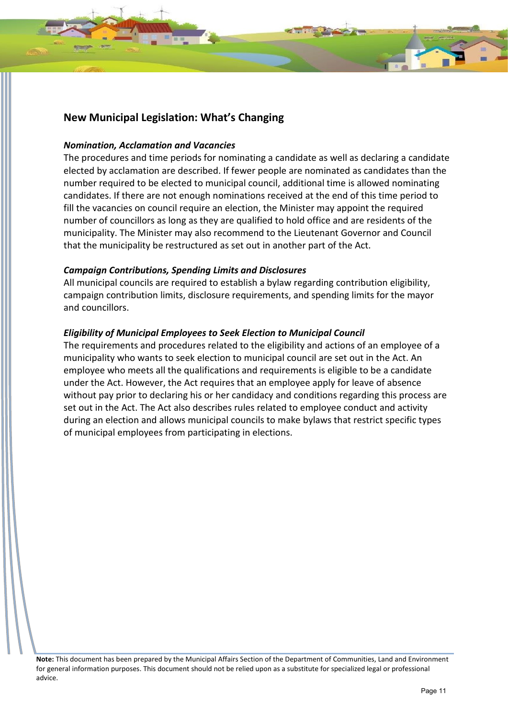### *Nomination, Acclamation and Vacancies*

The procedures and time periods for nominating a candidate as well as declaring a candidate elected by acclamation are described. If fewer people are nominated as candidates than the number required to be elected to municipal council, additional time is allowed nominating candidates. If there are not enough nominations received at the end of this time period to fill the vacancies on council require an election, the Minister may appoint the required number of councillors as long as they are qualified to hold office and are residents of the municipality. The Minister may also recommend to the Lieutenant Governor and Council that the municipality be restructured as set out in another part of the Act.

### *Campaign Contributions, Spending Limits and Disclosures*

All municipal councils are required to establish a bylaw regarding contribution eligibility, campaign contribution limits, disclosure requirements, and spending limits for the mayor and councillors.

### *Eligibility of Municipal Employees to Seek Election to Municipal Council*

The requirements and procedures related to the eligibility and actions of an employee of a municipality who wants to seek election to municipal council are set out in the Act. An employee who meets all the qualifications and requirements is eligible to be a candidate under the Act. However, the Act requires that an employee apply for leave of absence without pay prior to declaring his or her candidacy and conditions regarding this process are set out in the Act. The Act also describes rules related to employee conduct and activity during an election and allows municipal councils to make bylaws that restrict specific types of municipal employees from participating in elections.

**Note:** This document has been prepared by the Municipal Affairs Section of the Department of Communities, Land and Environment for general information purposes. This document should not be relied upon as a substitute for specialized legal or professional advice.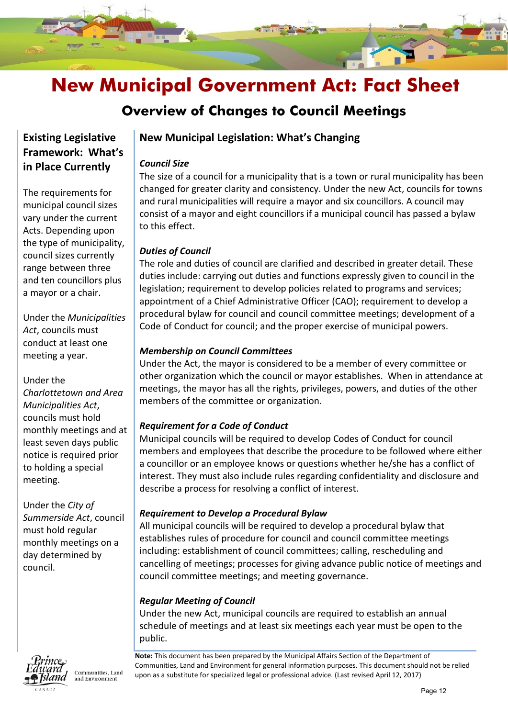

### **Overview of Changes to Council Meetings**

### **Existing Legislative Framework: What's in Place Currently**

The requirements for municipal council sizes vary under the current Acts. Depending upon the type of municipality, council sizes currently range between three and ten councillors plus a mayor or a chair.

Under the *Municipalities Act*, councils must conduct at least one meeting a year.

### Under the

*Charlottetown and Area Municipalities Act*, councils must hold monthly meetings and at least seven days public notice is required prior to holding a special meeting.

Under the *City of Summerside Act*, council must hold regular monthly meetings on a day determined by council.



Communities, Land and Environment

### **New Municipal Legislation: What's Changing**

### *Council Size*

The size of a council for a municipality that is a town or rural municipality has been changed for greater clarity and consistency. Under the new Act, councils for towns and rural municipalities will require a mayor and six councillors. A council may consist of a mayor and eight councillors if a municipal council has passed a bylaw to this effect.

### *Duties of Council*

The role and duties of council are clarified and described in greater detail. These duties include: carrying out duties and functions expressly given to council in the legislation; requirement to develop policies related to programs and services; appointment of a Chief Administrative Officer (CAO); requirement to develop a procedural bylaw for council and council committee meetings; development of a Code of Conduct for council; and the proper exercise of municipal powers.

### *Membership on Council Committees*

Under the Act, the mayor is considered to be a member of every committee or other organization which the council or mayor establishes. When in attendance at meetings, the mayor has all the rights, privileges, powers, and duties of the other members of the committee or organization.

### *Requirement for a Code of Conduct*

Municipal councils will be required to develop Codes of Conduct for council members and employees that describe the procedure to be followed where either a councillor or an employee knows or questions whether he/she has a conflict of interest. They must also include rules regarding confidentiality and disclosure and describe a process for resolving a conflict of interest.

### *Requirement to Develop a Procedural Bylaw*

All municipal councils will be required to develop a procedural bylaw that establishes rules of procedure for council and council committee meetings including: establishment of council committees; calling, rescheduling and cancelling of meetings; processes for giving advance public notice of meetings and council committee meetings; and meeting governance.

### *Regular Meeting of Council*

Under the new Act, municipal councils are required to establish an annual schedule of meetings and at least six meetings each year must be open to the public.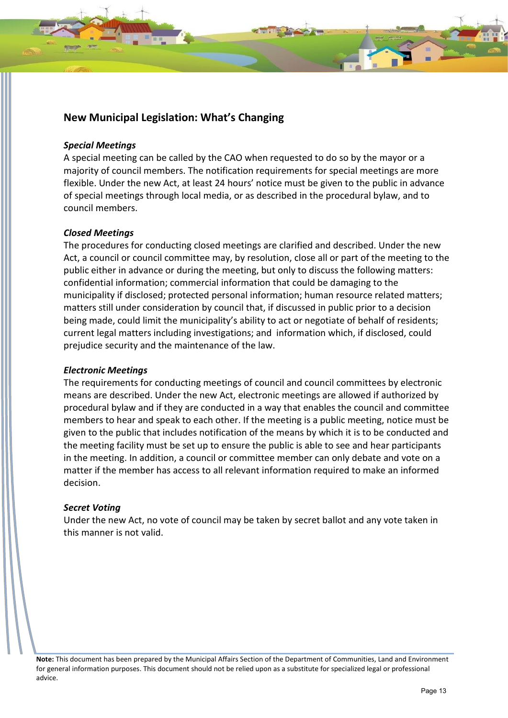#### *Special Meetings*

A special meeting can be called by the CAO when requested to do so by the mayor or a majority of council members. The notification requirements for special meetings are more flexible. Under the new Act, at least 24 hours' notice must be given to the public in advance of special meetings through local media, or as described in the procedural bylaw, and to council members.

#### *Closed Meetings*

The procedures for conducting closed meetings are clarified and described. Under the new Act, a council or council committee may, by resolution, close all or part of the meeting to the public either in advance or during the meeting, but only to discuss the following matters: confidential information; commercial information that could be damaging to the municipality if disclosed; protected personal information; human resource related matters; matters still under consideration by council that, if discussed in public prior to a decision being made, could limit the municipality's ability to act or negotiate of behalf of residents; current legal matters including investigations; and information which, if disclosed, could prejudice security and the maintenance of the law.

#### *Electronic Meetings*

The requirements for conducting meetings of council and council committees by electronic means are described. Under the new Act, electronic meetings are allowed if authorized by procedural bylaw and if they are conducted in a way that enables the council and committee members to hear and speak to each other. If the meeting is a public meeting, notice must be given to the public that includes notification of the means by which it is to be conducted and the meeting facility must be set up to ensure the public is able to see and hear participants in the meeting. In addition, a council or committee member can only debate and vote on a matter if the member has access to all relevant information required to make an informed decision.

### *Secret Voting*

Under the new Act, no vote of council may be taken by secret ballot and any vote taken in this manner is not valid.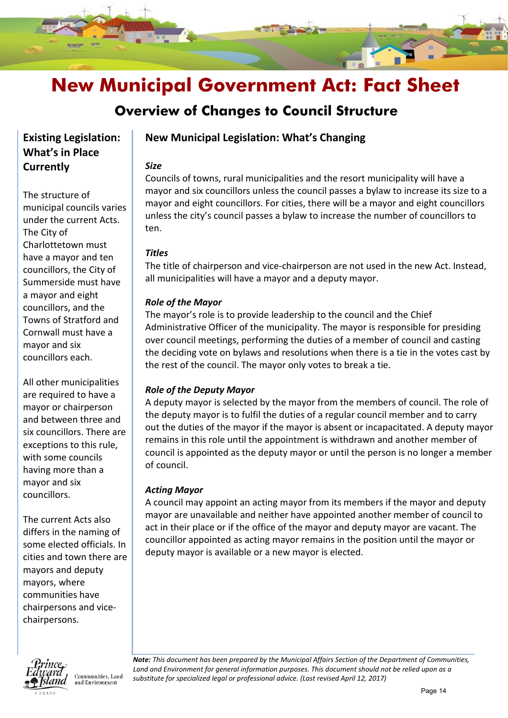

### **Overview of Changes to Council Structure**

### **Existing Legislation: What's in Place Currently**

The structure of municipal councils varies under the current Acts. The City of Charlottetown must have a mayor and ten councillors, the City of Summerside must have a mayor and eight councillors, and the Towns of Stratford and Cornwall must have a mayor and six councillors each.

All other municipalities are required to have a mayor or chairperson and between three and six councillors. There are exceptions to this rule, with some councils having more than a mayor and six councillors.

The current Acts also differs in the naming of some elected officials. In cities and town there are mayors and deputy mayors, where communities have chairpersons and vicechairpersons.



Communities, Land and Environment

### **New Municipal Legislation: What's Changing**

### *Size*

Councils of towns, rural municipalities and the resort municipality will have a mayor and six councillors unless the council passes a bylaw to increase its size to a mayor and eight councillors. For cities, there will be a mayor and eight councillors unless the city's council passes a bylaw to increase the number of councillors to ten.

### *Titles*

The title of chairperson and vice-chairperson are not used in the new Act. Instead, all municipalities will have a mayor and a deputy mayor.

### *Role of the Mayor*

The mayor's role is to provide leadership to the council and the Chief Administrative Officer of the municipality. The mayor is responsible for presiding over council meetings, performing the duties of a member of council and casting the deciding vote on bylaws and resolutions when there is a tie in the votes cast by the rest of the council. The mayor only votes to break a tie.

### *Role of the Deputy Mayor*

A deputy mayor is selected by the mayor from the members of council. The role of the deputy mayor is to fulfil the duties of a regular council member and to carry out the duties of the mayor if the mayor is absent or incapacitated. A deputy mayor remains in this role until the appointment is withdrawn and another member of council is appointed as the deputy mayor or until the person is no longer a member of council.

### *Acting Mayor*

A council may appoint an acting mayor from its members if the mayor and deputy mayor are unavailable and neither have appointed another member of council to act in their place or if the office of the mayor and deputy mayor are vacant. The councillor appointed as acting mayor remains in the position until the mayor or deputy mayor is available or a new mayor is elected.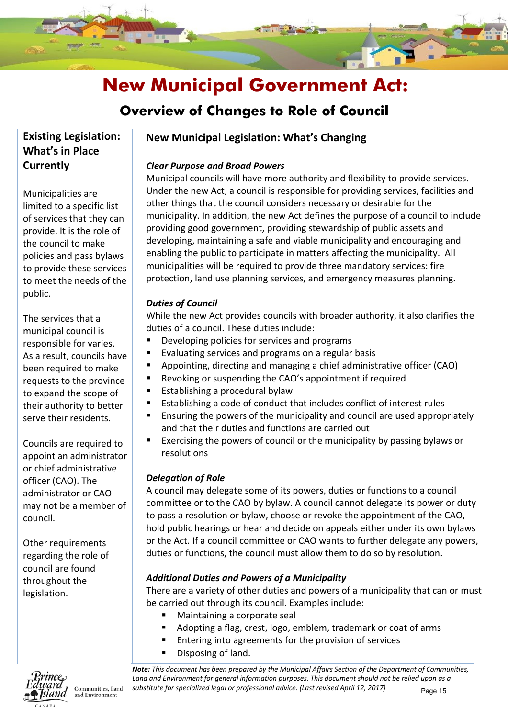

### **Overview of Changes to Role of Council**

### **Existing Legislation: What's in Place Currently**

Municipalities are limited to a specific list of services that they can provide. It is the role of the council to make policies and pass bylaws to provide these services to meet the needs of the public.

The services that a municipal council is responsible for varies. As a result, councils have been required to make requests to the province to expand the scope of their authority to better serve their residents.

Councils are required to appoint an administrator or chief administrative officer (CAO). The administrator or CAO may not be a member of council.

Other requirements regarding the role of council are found throughout the legislation.

# 

Communities, Land and Environment

### **New Municipal Legislation: What's Changing**

### *Clear Purpose and Broad Powers*

Municipal councils will have more authority and flexibility to provide services. Under the new Act, a council is responsible for providing services, facilities and other things that the council considers necessary or desirable for the municipality. In addition, the new Act defines the purpose of a council to include providing good government, providing stewardship of public assets and developing, maintaining a safe and viable municipality and encouraging and enabling the public to participate in matters affecting the municipality. All municipalities will be required to provide three mandatory services: fire protection, land use planning services, and emergency measures planning.

### *Duties of Council*

While the new Act provides councils with broader authority, it also clarifies the duties of a council. These duties include:

- Developing policies for services and programs
- Evaluating services and programs on a regular basis
- Appointing, directing and managing a chief administrative officer (CAO)
- Revoking or suspending the CAO's appointment if required
- Establishing a procedural bylaw
- Establishing a code of conduct that includes conflict of interest rules
- Ensuring the powers of the municipality and council are used appropriately and that their duties and functions are carried out
- Exercising the powers of council or the municipality by passing bylaws or resolutions

### *Delegation of Role*

A council may delegate some of its powers, duties or functions to a council committee or to the CAO by bylaw. A council cannot delegate its power or duty to pass a resolution or bylaw, choose or revoke the appointment of the CAO, hold public hearings or hear and decide on appeals either under its own bylaws or the Act. If a council committee or CAO wants to further delegate any powers, duties or functions, the council must allow them to do so by resolution.

### *Additional Duties and Powers of a Municipality*

There are a variety of other duties and powers of a municipality that can or must be carried out through its council. Examples include:

- Maintaining a corporate seal
- Adopting a flag, crest, logo, emblem, trademark or coat of arms
- Entering into agreements for the provision of services
- Disposing of land.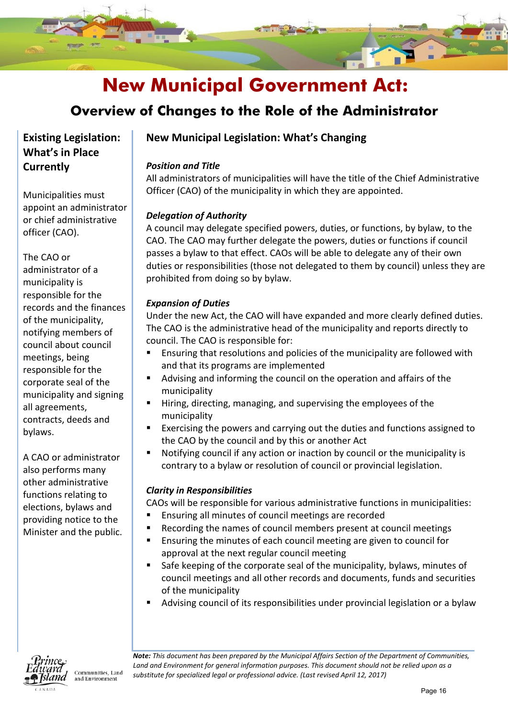

### **Overview of Changes to the Role of the Administrator**

### **Existing Legislation: What's in Place Currently**

Municipalities must appoint an administrator or chief administrative officer (CAO).

### The CAO or

administrator of a municipality is responsible for the records and the finances of the municipality, notifying members of council about council meetings, being responsible for the corporate seal of the municipality and signing all agreements, contracts, deeds and bylaws.

A CAO or administrator also performs many other administrative functions relating to elections, bylaws and providing notice to the Minister and the public.

### **New Municipal Legislation: What's Changing**

### *Position and Title*

All administrators of municipalities will have the title of the Chief Administrative Officer (CAO) of the municipality in which they are appointed.

### *Delegation of Authority*

A council may delegate specified powers, duties, or functions, by bylaw, to the CAO. The CAO may further delegate the powers, duties or functions if council passes a bylaw to that effect. CAOs will be able to delegate any of their own duties or responsibilities (those not delegated to them by council) unless they are prohibited from doing so by bylaw.

### *Expansion of Duties*

Under the new Act, the CAO will have expanded and more clearly defined duties. The CAO is the administrative head of the municipality and reports directly to council. The CAO is responsible for:

- **Ensuring that resolutions and policies of the municipality are followed with** and that its programs are implemented
- Advising and informing the council on the operation and affairs of the municipality
- Hiring, directing, managing, and supervising the employees of the municipality
- Exercising the powers and carrying out the duties and functions assigned to the CAO by the council and by this or another Act
- Notifying council if any action or inaction by council or the municipality is contrary to a bylaw or resolution of council or provincial legislation.

### *Clarity in Responsibilities*

CAOs will be responsible for various administrative functions in municipalities:

- **Ensuring all minutes of council meetings are recorded**
- Recording the names of council members present at council meetings
- Ensuring the minutes of each council meeting are given to council for approval at the next regular council meeting
- Safe keeping of the corporate seal of the municipality, bylaws, minutes of council meetings and all other records and documents, funds and securities of the municipality
- Advising council of its responsibilities under provincial legislation or a bylaw



Communities, Land and Environment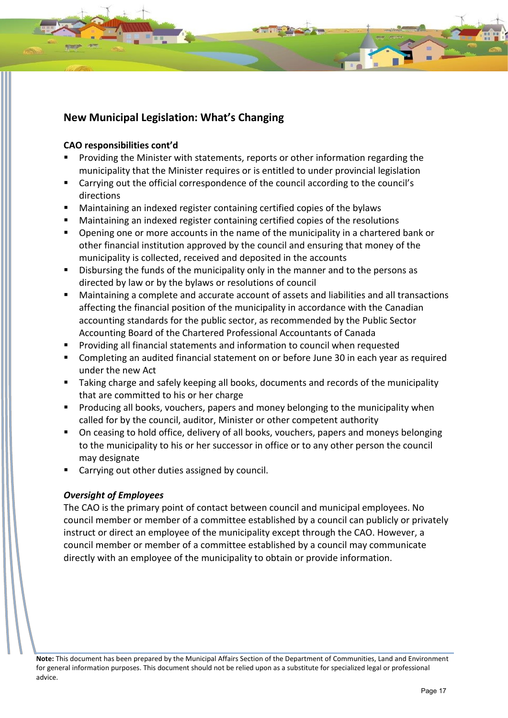### **CAO responsibilities cont'd**

- Providing the Minister with statements, reports or other information regarding the municipality that the Minister requires or is entitled to under provincial legislation
- Carrying out the official correspondence of the council according to the council's directions
- Maintaining an indexed register containing certified copies of the bylaws
- Maintaining an indexed register containing certified copies of the resolutions
- Opening one or more accounts in the name of the municipality in a chartered bank or other financial institution approved by the council and ensuring that money of the municipality is collected, received and deposited in the accounts
- Disbursing the funds of the municipality only in the manner and to the persons as directed by law or by the bylaws or resolutions of council
- Maintaining a complete and accurate account of assets and liabilities and all transactions affecting the financial position of the municipality in accordance with the Canadian accounting standards for the public sector, as recommended by the Public Sector Accounting Board of the Chartered Professional Accountants of Canada
- Providing all financial statements and information to council when requested
- Completing an audited financial statement on or before June 30 in each year as required under the new Act
- **Taking charge and safely keeping all books, documents and records of the municipality** that are committed to his or her charge
- Producing all books, vouchers, papers and money belonging to the municipality when called for by the council, auditor, Minister or other competent authority
- **On ceasing to hold office, delivery of all books, vouchers, papers and moneys belonging** to the municipality to his or her successor in office or to any other person the council may designate
- Carrying out other duties assigned by council.

### *Oversight of Employees*

The CAO is the primary point of contact between council and municipal employees. No council member or member of a committee established by a council can publicly or privately instruct or direct an employee of the municipality except through the CAO. However, a council member or member of a committee established by a council may communicate directly with an employee of the municipality to obtain or provide information.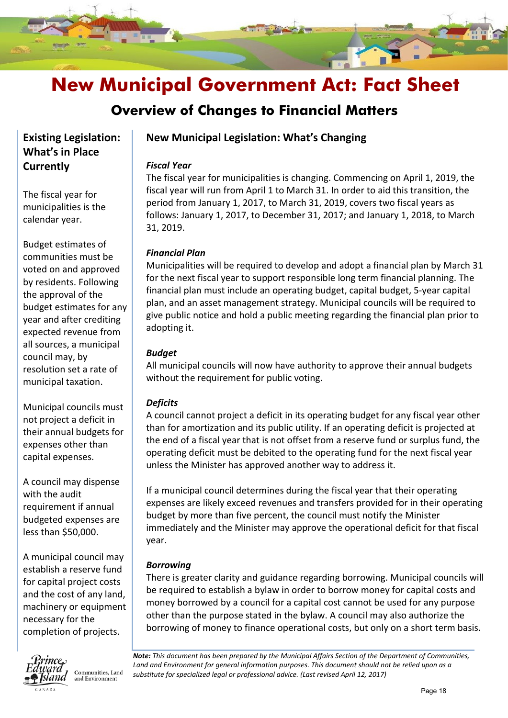

### **Overview of Changes to Financial Matters**

### **Existing Legislation: What's in Place Currently**

The fiscal year for municipalities is the calendar year.

Budget estimates of communities must be voted on and approved by residents. Following the approval of the budget estimates for any year and after crediting expected revenue from all sources, a municipal council may, by resolution set a rate of municipal taxation.

Municipal councils must not project a deficit in their annual budgets for expenses other than capital expenses.

A council may dispense with the audit requirement if annual budgeted expenses are less than \$50,000.

A municipal council may establish a reserve fund for capital project costs and the cost of any land, machinery or equipment necessary for the completion of projects.



Communities, Land and Environment

### **New Municipal Legislation: What's Changing**

### *Fiscal Year*

The fiscal year for municipalities is changing. Commencing on April 1, 2019, the fiscal year will run from April 1 to March 31. In order to aid this transition, the period from January 1, 2017, to March 31, 2019, covers two fiscal years as follows: January 1, 2017, to December 31, 2017; and January 1, 2018, to March 31, 2019.

### *Financial Plan*

Municipalities will be required to develop and adopt a financial plan by March 31 for the next fiscal year to support responsible long term financial planning. The financial plan must include an operating budget, capital budget, 5-year capital plan, and an asset management strategy. Municipal councils will be required to give public notice and hold a public meeting regarding the financial plan prior to adopting it.

### *Budget*

All municipal councils will now have authority to approve their annual budgets without the requirement for public voting.

### *Deficits*

A council cannot project a deficit in its operating budget for any fiscal year other than for amortization and its public utility. If an operating deficit is projected at the end of a fiscal year that is not offset from a reserve fund or surplus fund, the operating deficit must be debited to the operating fund for the next fiscal year unless the Minister has approved another way to address it.

If a municipal council determines during the fiscal year that their operating expenses are likely exceed revenues and transfers provided for in their operating budget by more than five percent, the council must notify the Minister immediately and the Minister may approve the operational deficit for that fiscal year.

### *Borrowing*

There is greater clarity and guidance regarding borrowing. Municipal councils will be required to establish a bylaw in order to borrow money for capital costs and money borrowed by a council for a capital cost cannot be used for any purpose other than the purpose stated in the bylaw. A council may also authorize the borrowing of money to finance operational costs, but only on a short term basis.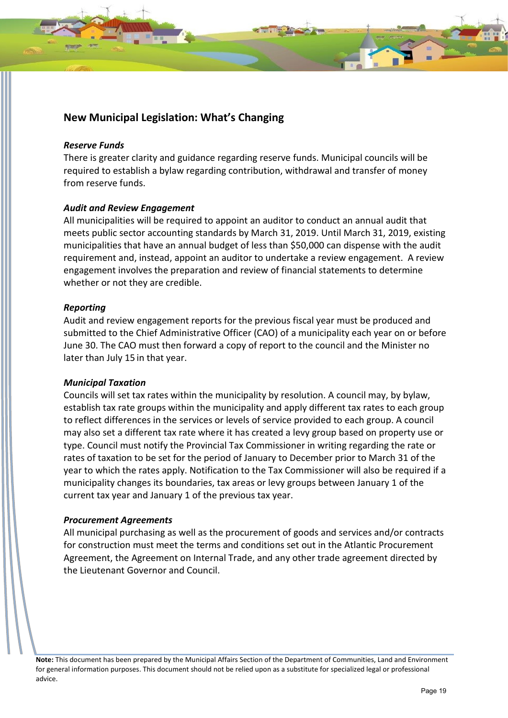#### *Reserve Funds*

There is greater clarity and guidance regarding reserve funds. Municipal councils will be required to establish a bylaw regarding contribution, withdrawal and transfer of money from reserve funds.

#### *Audit and Review Engagement*

All municipalities will be required to appoint an auditor to conduct an annual audit that meets public sector accounting standards by March 31, 2019. Until March 31, 2019, existing municipalities that have an annual budget of less than \$50,000 can dispense with the audit requirement and, instead, appoint an auditor to undertake a review engagement. A review engagement involves the preparation and review of financial statements to determine whether or not they are credible.

#### *Reporting*

Audit and review engagement reports for the previous fiscal year must be produced and submitted to the Chief Administrative Officer (CAO) of a municipality each year on or before June 30. The CAO must then forward a copy of report to the council and the Minister no later than July 15 in that year.

#### *Municipal Taxation*

Councils will set tax rates within the municipality by resolution. A council may, by bylaw, establish tax rate groups within the municipality and apply different tax rates to each group to reflect differences in the services or levels of service provided to each group. A council may also set a different tax rate where it has created a levy group based on property use or type. Council must notify the Provincial Tax Commissioner in writing regarding the rate or rates of taxation to be set for the period of January to December prior to March 31 of the year to which the rates apply. Notification to the Tax Commissioner will also be required if a municipality changes its boundaries, tax areas or levy groups between January 1 of the current tax year and January 1 of the previous tax year.

#### *Procurement Agreements*

All municipal purchasing as well as the procurement of goods and services and/or contracts for construction must meet the terms and conditions set out in the Atlantic Procurement Agreement, the Agreement on Internal Trade, and any other trade agreement directed by the Lieutenant Governor and Council.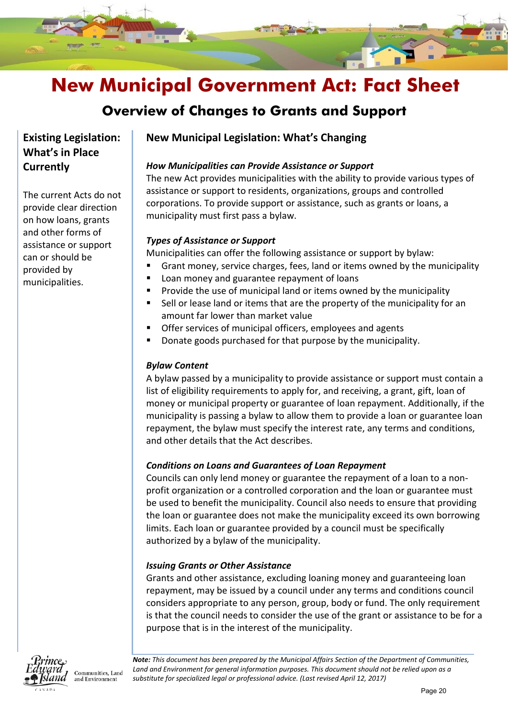

### **Overview of Changes to Grants and Support**

### **Existing Legislation: What's in Place Currently**

The current Acts do not provide clear direction on how loans, grants and other forms of assistance or support can or should be provided by municipalities.

### **New Municipal Legislation: What's Changing**

### *How Municipalities can Provide Assistance or Support*

The new Act provides municipalities with the ability to provide various types of assistance or support to residents, organizations, groups and controlled corporations. To provide support or assistance, such as grants or loans, a municipality must first pass a bylaw.

### *Types of Assistance or Support*

Municipalities can offer the following assistance or support by bylaw:

- Grant money, service charges, fees, land or items owned by the municipality
	- Loan money and guarantee repayment of loans
- **Provide the use of municipal land or items owned by the municipality**
- Sell or lease land or items that are the property of the municipality for an amount far lower than market value
- Offer services of municipal officers, employees and agents
- Donate goods purchased for that purpose by the municipality.

### *Bylaw Content*

A bylaw passed by a municipality to provide assistance or support must contain a list of eligibility requirements to apply for, and receiving, a grant, gift, loan of money or municipal property or guarantee of loan repayment. Additionally, if the municipality is passing a bylaw to allow them to provide a loan or guarantee loan repayment, the bylaw must specify the interest rate, any terms and conditions, and other details that the Act describes.

### *Conditions on Loans and Guarantees of Loan Repayment*

Councils can only lend money or guarantee the repayment of a loan to a nonprofit organization or a controlled corporation and the loan or guarantee must be used to benefit the municipality. Council also needs to ensure that providing the loan or guarantee does not make the municipality exceed its own borrowing limits. Each loan or guarantee provided by a council must be specifically authorized by a bylaw of the municipality.

### *Issuing Grants or Other Assistance*

Grants and other assistance, excluding loaning money and guaranteeing loan repayment, may be issued by a council under any terms and conditions council considers appropriate to any person, group, body or fund. The only requirement is that the council needs to consider the use of the grant or assistance to be for a purpose that is in the interest of the municipality.



Communities, Land and Environment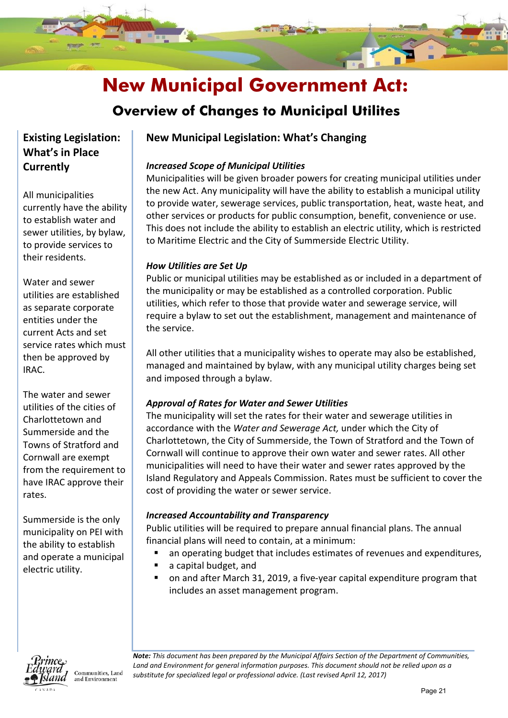

### **Overview of Changes to Municipal Utilites**

### **Existing Legislation: What's in Place Currently**

All municipalities currently have the ability to establish water and sewer utilities, by bylaw, to provide services to their residents.

Water and sewer utilities are established as separate corporate entities under the current Acts and set service rates which must then be approved by IRAC.

The water and sewer utilities of the cities of Charlottetown and Summerside and the Towns of Stratford and Cornwall are exempt from the requirement to have IRAC approve their rates.

Summerside is the only municipality on PEI with the ability to establish and operate a municipal electric utility.



Communities, Land and Environment

### **New Municipal Legislation: What's Changing**

### *Increased Scope of Municipal Utilities*

Municipalities will be given broader powers for creating municipal utilities under the new Act. Any municipality will have the ability to establish a municipal utility to provide water, sewerage services, public transportation, heat, waste heat, and other services or products for public consumption, benefit, convenience or use. This does not include the ability to establish an electric utility, which is restricted to Maritime Electric and the City of Summerside Electric Utility.

### *How Utilities are Set Up*

Public or municipal utilities may be established as or included in a department of the municipality or may be established as a controlled corporation. Public utilities, which refer to those that provide water and sewerage service, will require a bylaw to set out the establishment, management and maintenance of the service.

All other utilities that a municipality wishes to operate may also be established, managed and maintained by bylaw, with any municipal utility charges being set and imposed through a bylaw.

### *Approval of Rates for Water and Sewer Utilities*

The municipality will set the rates for their water and sewerage utilities in accordance with the *Water and Sewerage Act,* under which the City of Charlottetown, the City of Summerside, the Town of Stratford and the Town of Cornwall will continue to approve their own water and sewer rates. All other municipalities will need to have their water and sewer rates approved by the Island Regulatory and Appeals Commission. Rates must be sufficient to cover the cost of providing the water or sewer service.

### *Increased Accountability and Transparency*

Public utilities will be required to prepare annual financial plans. The annual financial plans will need to contain, at a minimum:

- an operating budget that includes estimates of revenues and expenditures,
- a capital budget, and
- on and after March 31, 2019, a five-year capital expenditure program that includes an asset management program.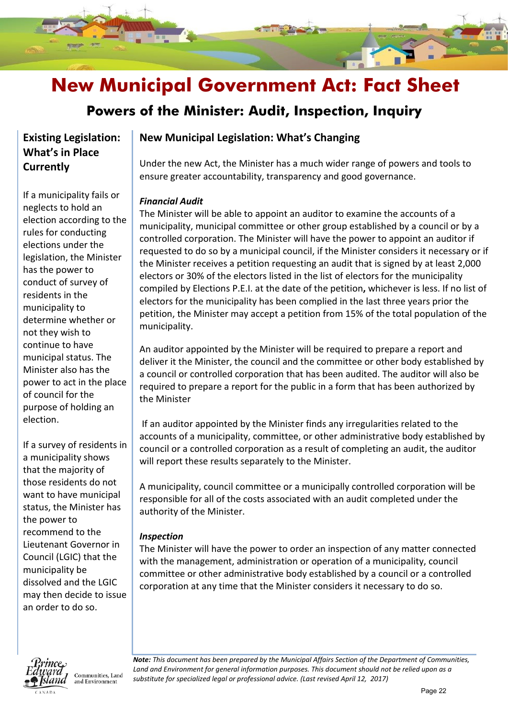### **Powers of the Minister: Audit, Inspection, Inquiry**

### **Existing Legislation: What's in Place Currently**

If a municipality fails or neglects to hold an election according to the rules for conducting elections under the legislation, the Minister has the power to conduct of survey of residents in the municipality to determine whether or not they wish to continue to have municipal status. The Minister also has the power to act in the place of council for the purpose of holding an election.

If a survey of residents in a municipality shows that the majority of those residents do not want to have municipal status, the Minister has the power to recommend to the Lieutenant Governor in Council (LGIC) that the municipality be dissolved and the LGIC may then decide to issue an order to do so.



Communities, Land and Environment

### **New Municipal Legislation: What's Changing**

Under the new Act, the Minister has a much wider range of powers and tools to ensure greater accountability, transparency and good governance.

### *Financial Audit*

The Minister will be able to appoint an auditor to examine the accounts of a municipality, municipal committee or other group established by a council or by a controlled corporation. The Minister will have the power to appoint an auditor if requested to do so by a municipal council, if the Minister considers it necessary or if the Minister receives a petition requesting an audit that is signed by at least 2,000 electors or 30% of the electors listed in the list of electors for the municipality compiled by Elections P.E.I. at the date of the petition**,** whichever is less. If no list of electors for the municipality has been complied in the last three years prior the petition, the Minister may accept a petition from 15% of the total population of the municipality.

An auditor appointed by the Minister will be required to prepare a report and deliver it the Minister, the council and the committee or other body established by a council or controlled corporation that has been audited. The auditor will also be required to prepare a report for the public in a form that has been authorized by the Minister

If an auditor appointed by the Minister finds any irregularities related to the accounts of a municipality, committee, or other administrative body established by council or a controlled corporation as a result of completing an audit, the auditor will report these results separately to the Minister.

A municipality, council committee or a municipally controlled corporation will be responsible for all of the costs associated with an audit completed under the authority of the Minister.

### *Inspection*

The Minister will have the power to order an inspection of any matter connected with the management, administration or operation of a municipality, council committee or other administrative body established by a council or a controlled corporation at any time that the Minister considers it necessary to do so.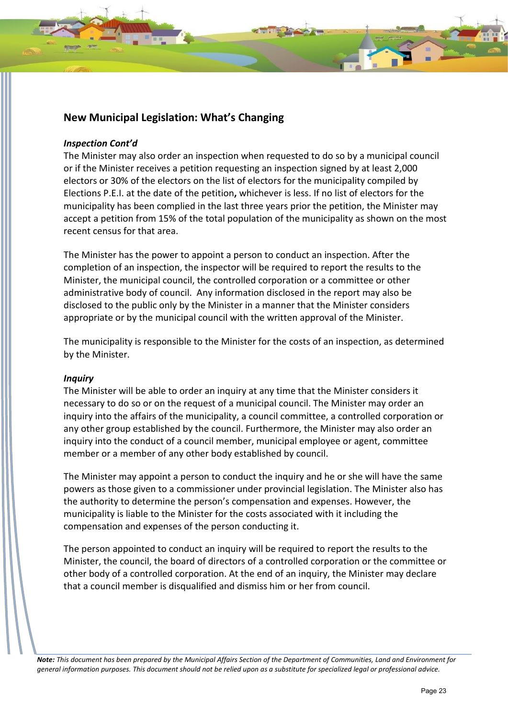### *Inspection Cont'd*

The Minister may also order an inspection when requested to do so by a municipal council or if the Minister receives a petition requesting an inspection signed by at least 2,000 electors or 30% of the electors on the list of electors for the municipality compiled by Elections P.E.I. at the date of the petition**,** whichever is less. If no list of electors for the municipality has been complied in the last three years prior the petition, the Minister may accept a petition from 15% of the total population of the municipality as shown on the most recent census for that area.

The Minister has the power to appoint a person to conduct an inspection. After the completion of an inspection, the inspector will be required to report the results to the Minister, the municipal council, the controlled corporation or a committee or other administrative body of council. Any information disclosed in the report may also be disclosed to the public only by the Minister in a manner that the Minister considers appropriate or by the municipal council with the written approval of the Minister.

The municipality is responsible to the Minister for the costs of an inspection, as determined by the Minister.

### *Inquiry*

The Minister will be able to order an inquiry at any time that the Minister considers it necessary to do so or on the request of a municipal council. The Minister may order an inquiry into the affairs of the municipality, a council committee, a controlled corporation or any other group established by the council. Furthermore, the Minister may also order an inquiry into the conduct of a council member, municipal employee or agent, committee member or a member of any other body established by council.

The Minister may appoint a person to conduct the inquiry and he or she will have the same powers as those given to a commissioner under provincial legislation. The Minister also has the authority to determine the person's compensation and expenses. However, the municipality is liable to the Minister for the costs associated with it including the compensation and expenses of the person conducting it.

The person appointed to conduct an inquiry will be required to report the results to the Minister, the council, the board of directors of a controlled corporation or the committee or other body of a controlled corporation. At the end of an inquiry, the Minister may declare that a council member is disqualified and dismiss him or her from council.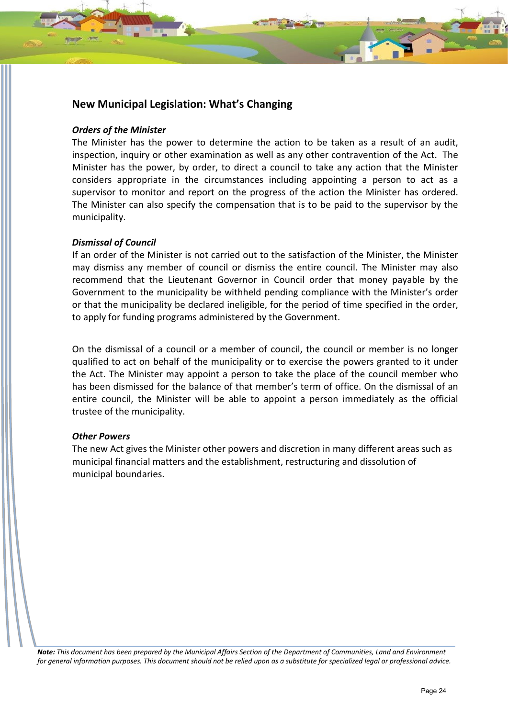#### *Orders of the Minister*

The Minister has the power to determine the action to be taken as a result of an audit, inspection, inquiry or other examination as well as any other contravention of the Act. The Minister has the power, by order, to direct a council to take any action that the Minister considers appropriate in the circumstances including appointing a person to act as a supervisor to monitor and report on the progress of the action the Minister has ordered. The Minister can also specify the compensation that is to be paid to the supervisor by the municipality.

#### *Dismissal of Council*

If an order of the Minister is not carried out to the satisfaction of the Minister, the Minister may dismiss any member of council or dismiss the entire council. The Minister may also recommend that the Lieutenant Governor in Council order that money payable by the Government to the municipality be withheld pending compliance with the Minister's order or that the municipality be declared ineligible, for the period of time specified in the order, to apply for funding programs administered by the Government.

On the dismissal of a council or a member of council, the council or member is no longer qualified to act on behalf of the municipality or to exercise the powers granted to it under the Act. The Minister may appoint a person to take the place of the council member who has been dismissed for the balance of that member's term of office. On the dismissal of an entire council, the Minister will be able to appoint a person immediately as the official trustee of the municipality.

#### *Other Powers*

The new Act gives the Minister other powers and discretion in many different areas such as municipal financial matters and the establishment, restructuring and dissolution of municipal boundaries.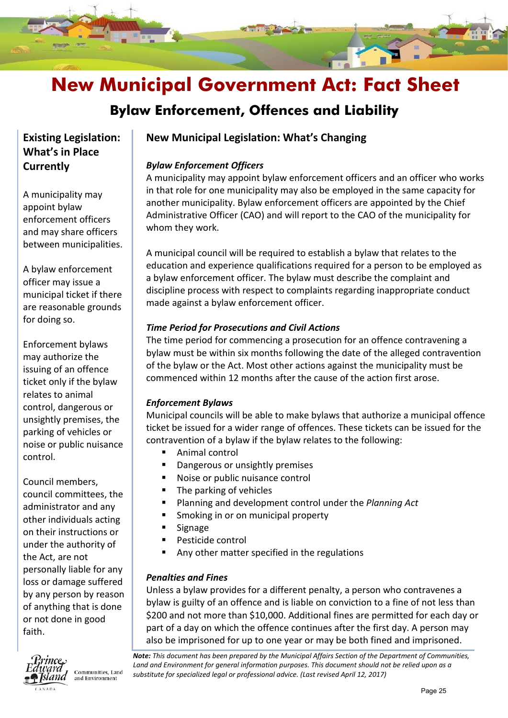### **Bylaw Enforcement, Offences and Liability**

### **Existing Legislation: What's in Place Currently**

A municipality may appoint bylaw enforcement officers and may share officers between municipalities.

A bylaw enforcement officer may issue a municipal ticket if there are reasonable grounds for doing so.

Enforcement bylaws may authorize the issuing of an offence ticket only if the bylaw relates to animal control, dangerous or unsightly premises, the parking of vehicles or noise or public nuisance control.

Council members, council committees, the administrator and any other individuals acting on their instructions or under the authority of the Act, are not personally liable for any loss or damage suffered by any person by reason of anything that is done or not done in good faith.



Communities, Land and Environment

### **New Municipal Legislation: What's Changing**

### *Bylaw Enforcement Officers*

A municipality may appoint bylaw enforcement officers and an officer who works in that role for one municipality may also be employed in the same capacity for another municipality. Bylaw enforcement officers are appointed by the Chief Administrative Officer (CAO) and will report to the CAO of the municipality for whom they work.

A municipal council will be required to establish a bylaw that relates to the education and experience qualifications required for a person to be employed as a bylaw enforcement officer. The bylaw must describe the complaint and discipline process with respect to complaints regarding inappropriate conduct made against a bylaw enforcement officer.

### *Time Period for Prosecutions and Civil Actions*

The time period for commencing a prosecution for an offence contravening a bylaw must be within six months following the date of the alleged contravention of the bylaw or the Act. Most other actions against the municipality must be commenced within 12 months after the cause of the action first arose.

### *Enforcement Bylaws*

Municipal councils will be able to make bylaws that authorize a municipal offence ticket be issued for a wider range of offences. These tickets can be issued for the contravention of a bylaw if the bylaw relates to the following:

- Animal control
- **•** Dangerous or unsightly premises
- Noise or public nuisance control
- $\blacksquare$  The parking of vehicles
- Planning and development control under the *Planning Act*
- Smoking in or on municipal property
- Signage
- Pesticide control
- Any other matter specified in the regulations

### *Penalties and Fines*

Unless a bylaw provides for a different penalty, a person who contravenes a bylaw is guilty of an offence and is liable on conviction to a fine of not less than \$200 and not more than \$10,000. Additional fines are permitted for each day or part of a day on which the offence continues after the first day. A person may also be imprisoned for up to one year or may be both fined and imprisoned.